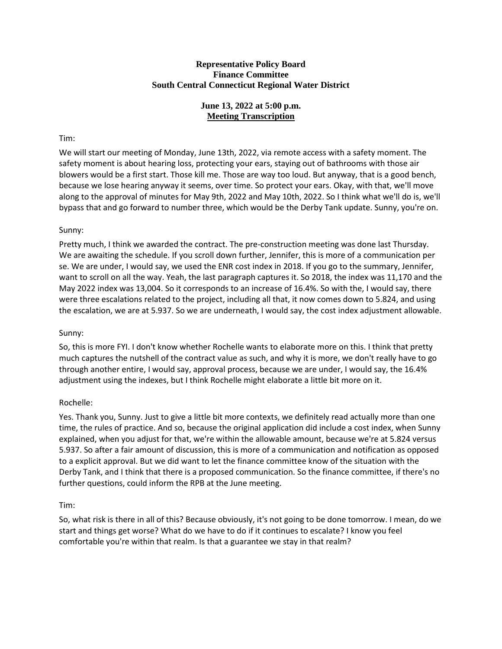#### **Representative Policy Board Finance Committee South Central Connecticut Regional Water District**

# **June 13, 2022 at 5:00 p.m. Meeting Transcription**

# Tim:

We will start our meeting of Monday, June 13th, 2022, via remote access with a safety moment. The safety moment is about hearing loss, protecting your ears, staying out of bathrooms with those air blowers would be a first start. Those kill me. Those are way too loud. But anyway, that is a good bench, because we lose hearing anyway it seems, over time. So protect your ears. Okay, with that, we'll move along to the approval of minutes for May 9th, 2022 and May 10th, 2022. So I think what we'll do is, we'll bypass that and go forward to number three, which would be the Derby Tank update. Sunny, you're on.

# Sunny:

Pretty much, I think we awarded the contract. The pre-construction meeting was done last Thursday. We are awaiting the schedule. If you scroll down further, Jennifer, this is more of a communication per se. We are under, I would say, we used the ENR cost index in 2018. If you go to the summary, Jennifer, want to scroll on all the way. Yeah, the last paragraph captures it. So 2018, the index was 11,170 and the May 2022 index was 13,004. So it corresponds to an increase of 16.4%. So with the, I would say, there were three escalations related to the project, including all that, it now comes down to 5.824, and using the escalation, we are at 5.937. So we are underneath, I would say, the cost index adjustment allowable.

## Sunny:

So, this is more FYI. I don't know whether Rochelle wants to elaborate more on this. I think that pretty much captures the nutshell of the contract value as such, and why it is more, we don't really have to go through another entire, I would say, approval process, because we are under, I would say, the 16.4% adjustment using the indexes, but I think Rochelle might elaborate a little bit more on it.

## Rochelle:

Yes. Thank you, Sunny. Just to give a little bit more contexts, we definitely read actually more than one time, the rules of practice. And so, because the original application did include a cost index, when Sunny explained, when you adjust for that, we're within the allowable amount, because we're at 5.824 versus 5.937. So after a fair amount of discussion, this is more of a communication and notification as opposed to a explicit approval. But we did want to let the finance committee know of the situation with the Derby Tank, and I think that there is a proposed communication. So the finance committee, if there's no further questions, could inform the RPB at the June meeting.

## Tim:

So, what risk is there in all of this? Because obviously, it's not going to be done tomorrow. I mean, do we start and things get worse? What do we have to do if it continues to escalate? I know you feel comfortable you're within that realm. Is that a guarantee we stay in that realm?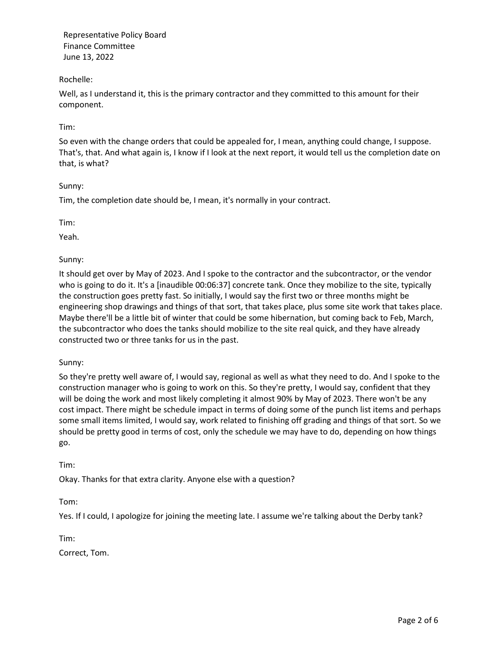# Rochelle:

Well, as I understand it, this is the primary contractor and they committed to this amount for their component.

## Tim:

So even with the change orders that could be appealed for, I mean, anything could change, I suppose. That's, that. And what again is, I know if I look at the next report, it would tell us the completion date on that, is what?

## Sunny:

Tim, the completion date should be, I mean, it's normally in your contract.

Tim:

Yeah.

# Sunny:

It should get over by May of 2023. And I spoke to the contractor and the subcontractor, or the vendor who is going to do it. It's a [inaudible 00:06:37] concrete tank. Once they mobilize to the site, typically the construction goes pretty fast. So initially, I would say the first two or three months might be engineering shop drawings and things of that sort, that takes place, plus some site work that takes place. Maybe there'll be a little bit of winter that could be some hibernation, but coming back to Feb, March, the subcontractor who does the tanks should mobilize to the site real quick, and they have already constructed two or three tanks for us in the past.

## Sunny:

So they're pretty well aware of, I would say, regional as well as what they need to do. And I spoke to the construction manager who is going to work on this. So they're pretty, I would say, confident that they will be doing the work and most likely completing it almost 90% by May of 2023. There won't be any cost impact. There might be schedule impact in terms of doing some of the punch list items and perhaps some small items limited, I would say, work related to finishing off grading and things of that sort. So we should be pretty good in terms of cost, only the schedule we may have to do, depending on how things go.

## Tim:

Okay. Thanks for that extra clarity. Anyone else with a question?

Tom:

Yes. If I could, I apologize for joining the meeting late. I assume we're talking about the Derby tank?

Tim:

Correct, Tom.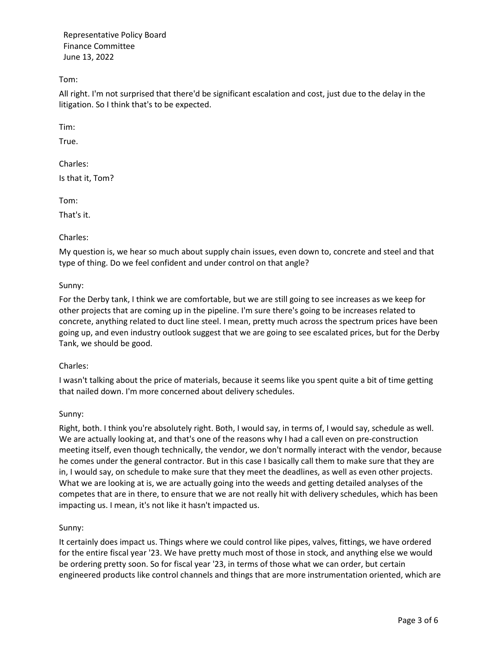Tom:

All right. I'm not surprised that there'd be significant escalation and cost, just due to the delay in the litigation. So I think that's to be expected.

Tim:

True.

Charles: Is that it, Tom?

Tom:

That's it.

## Charles:

My question is, we hear so much about supply chain issues, even down to, concrete and steel and that type of thing. Do we feel confident and under control on that angle?

#### Sunny:

For the Derby tank, I think we are comfortable, but we are still going to see increases as we keep for other projects that are coming up in the pipeline. I'm sure there's going to be increases related to concrete, anything related to duct line steel. I mean, pretty much across the spectrum prices have been going up, and even industry outlook suggest that we are going to see escalated prices, but for the Derby Tank, we should be good.

#### Charles:

I wasn't talking about the price of materials, because it seems like you spent quite a bit of time getting that nailed down. I'm more concerned about delivery schedules.

#### Sunny:

Right, both. I think you're absolutely right. Both, I would say, in terms of, I would say, schedule as well. We are actually looking at, and that's one of the reasons why I had a call even on pre-construction meeting itself, even though technically, the vendor, we don't normally interact with the vendor, because he comes under the general contractor. But in this case I basically call them to make sure that they are in, I would say, on schedule to make sure that they meet the deadlines, as well as even other projects. What we are looking at is, we are actually going into the weeds and getting detailed analyses of the competes that are in there, to ensure that we are not really hit with delivery schedules, which has been impacting us. I mean, it's not like it hasn't impacted us.

## Sunny:

It certainly does impact us. Things where we could control like pipes, valves, fittings, we have ordered for the entire fiscal year '23. We have pretty much most of those in stock, and anything else we would be ordering pretty soon. So for fiscal year '23, in terms of those what we can order, but certain engineered products like control channels and things that are more instrumentation oriented, which are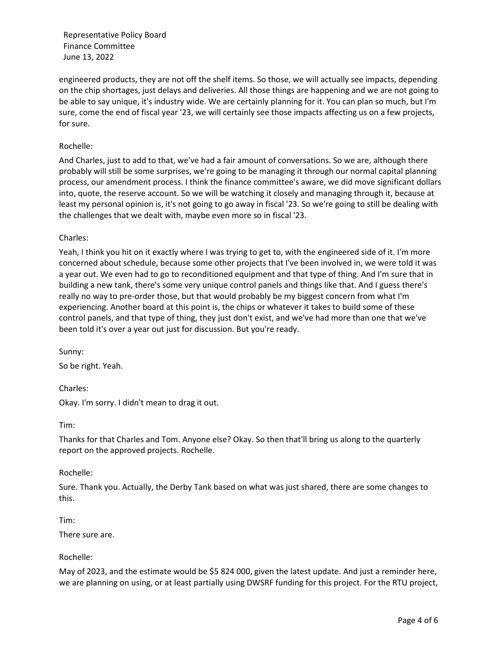engineered products, they are not off the shelf items. So those, we will actually see impacts, depending on the chip shortages, just delays and deliveries. All those things are happening and we are not going to be able to say unique, it's industry wide. We are certainly planning for it. You can plan so much, but I'm sure, come the end of fiscal year '23, we will certainly see those impacts affecting us on a few projects, for sure.

#### Rochelle:

And Charles, just to add to that, we've had a fair amount of conversations. So we are, although there probably will still be some surprises, we're going to be managing it through our normal capital planning process, our amendment process. I think the finance committee's aware, we did move significant dollars into, quote, the reserve account. So we will be watching it closely and managing through it, because at least my personal opinion is, it's not going to go away in fiscal '23. So we're going to still be dealing with the challenges that we dealt with, maybe even more so in fiscal '23.

Charles:

Yeah, I think you hit on it exactly where I was trying to get to, with the engineered side of it. I'm more concerned about schedule, because some other projects that I've been involved in, we were told it was a year out. We even had to go to reconditioned equipment and that type of thing. And I'm sure that in building a new tank, there's some very unique control panels and things like that. And I guess there's really no way to pre-order those, but that would probably be my biggest concern from what I'm experiencing. Another board at this point is, the chips or whatever it takes to build some of these control panels, and that type of thing, they just don't exist, and we've had more than one that we've been told it's over a year out just for discussion. But you're ready.

Sunny: So be right. Yeah.

Charles: Okay. I'm sorry. I didn't mean to drag it out.

Tim:

Thanks for that Charles and Tom. Anyone else? Okay. So then that'll bring us along to the quarterly report on the approved projects. Rochelle.

Rochelle:

Sure. Thank you. Actually, the Derby Tank based on what was just shared, there are some changes to this.

Tim:

There sure are.

Rochelle:

May of 2023, and the estimate would be \$5 824 000, given the latest update. And just a reminder here, we are planning on using, or at least partially using DWSRF funding for this project. For the RTU project,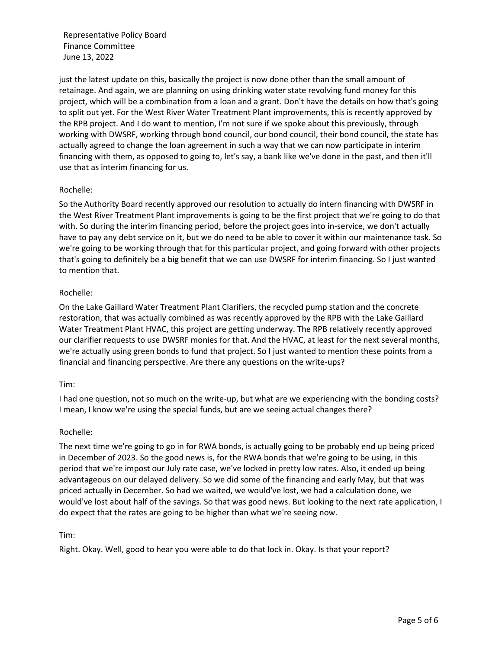just the latest update on this, basically the project is now done other than the small amount of retainage. And again, we are planning on using drinking water state revolving fund money for this project, which will be a combination from a loan and a grant. Don't have the details on how that's going to split out yet. For the West River Water Treatment Plant improvements, this is recently approved by the RPB project. And I do want to mention, I'm not sure if we spoke about this previously, through working with DWSRF, working through bond council, our bond council, their bond council, the state has actually agreed to change the loan agreement in such a way that we can now participate in interim financing with them, as opposed to going to, let's say, a bank like we've done in the past, and then it'll use that as interim financing for us.

## Rochelle:

So the Authority Board recently approved our resolution to actually do intern financing with DWSRF in the West River Treatment Plant improvements is going to be the first project that we're going to do that with. So during the interim financing period, before the project goes into in-service, we don't actually have to pay any debt service on it, but we do need to be able to cover it within our maintenance task. So we're going to be working through that for this particular project, and going forward with other projects that's going to definitely be a big benefit that we can use DWSRF for interim financing. So I just wanted to mention that.

#### Rochelle:

On the Lake Gaillard Water Treatment Plant Clarifiers, the recycled pump station and the concrete restoration, that was actually combined as was recently approved by the RPB with the Lake Gaillard Water Treatment Plant HVAC, this project are getting underway. The RPB relatively recently approved our clarifier requests to use DWSRF monies for that. And the HVAC, at least for the next several months, we're actually using green bonds to fund that project. So I just wanted to mention these points from a financial and financing perspective. Are there any questions on the write-ups?

#### Tim:

I had one question, not so much on the write-up, but what are we experiencing with the bonding costs? I mean, I know we're using the special funds, but are we seeing actual changes there?

#### Rochelle:

The next time we're going to go in for RWA bonds, is actually going to be probably end up being priced in December of 2023. So the good news is, for the RWA bonds that we're going to be using, in this period that we're impost our July rate case, we've locked in pretty low rates. Also, it ended up being advantageous on our delayed delivery. So we did some of the financing and early May, but that was priced actually in December. So had we waited, we would've lost, we had a calculation done, we would've lost about half of the savings. So that was good news. But looking to the next rate application, I do expect that the rates are going to be higher than what we're seeing now.

Tim:

Right. Okay. Well, good to hear you were able to do that lock in. Okay. Is that your report?